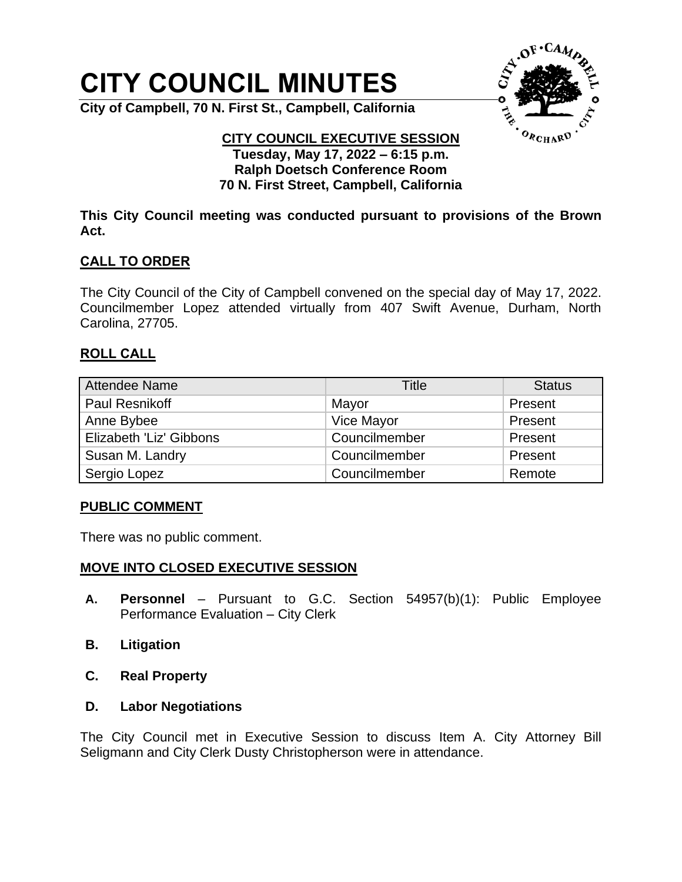# **CITY COUNCIL MINUTES**

**City of Campbell, 70 N. First St., Campbell, California**



#### **CITY COUNCIL EXECUTIVE SESSION Tuesday, May 17, 2022 – 6:15 p.m. Ralph Doetsch Conference Room 70 N. First Street, Campbell, California**

**This City Council meeting was conducted pursuant to provisions of the Brown Act.**

## **CALL TO ORDER**

The City Council of the City of Campbell convened on the special day of May 17, 2022. Councilmember Lopez attended virtually from 407 Swift Avenue, Durham, North Carolina, 27705.

### **ROLL CALL**

| Attendee Name           | Title         | <b>Status</b> |
|-------------------------|---------------|---------------|
| Paul Resnikoff          | Mayor         | Present       |
| Anne Bybee              | Vice Mayor    | Present       |
| Elizabeth 'Liz' Gibbons | Councilmember | Present       |
| Susan M. Landry         | Councilmember | Present       |
| Sergio Lopez            | Councilmember | Remote        |

### **PUBLIC COMMENT**

There was no public comment.

### **MOVE INTO CLOSED EXECUTIVE SESSION**

- **A. Personnel** Pursuant to G.C. Section 54957(b)(1): Public Employee Performance Evaluation – City Clerk
- **B. Litigation**
- **C. Real Property**
- **D. Labor Negotiations**

The City Council met in Executive Session to discuss Item A. City Attorney Bill Seligmann and City Clerk Dusty Christopherson were in attendance.